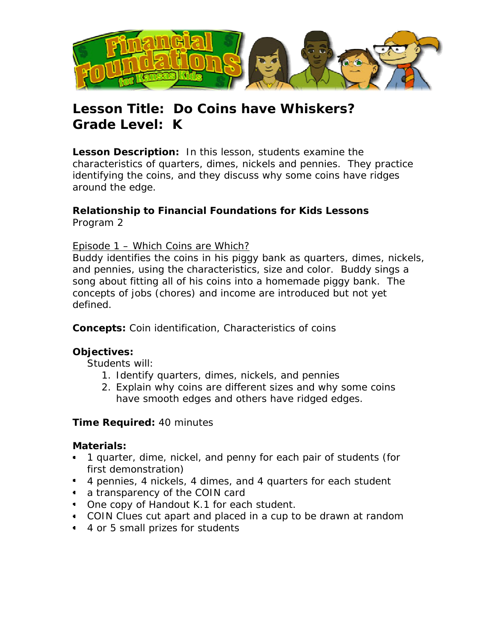

# **Lesson Title: Do Coins have Whiskers? Grade Level: K**

**Lesson Description:** In this lesson, students examine the characteristics of quarters, dimes, nickels and pennies. They practice identifying the coins, and they discuss why some coins have ridges around the edge.

#### **Relationship to Financial Foundations for Kids Lessons**  Program 2

#### Episode 1 – Which Coins are Which?

Buddy identifies the coins in his piggy bank as quarters, dimes, nickels, and pennies, using the characteristics, size and color. Buddy sings a song about fitting all of his coins into a homemade piggy bank. The concepts of jobs (chores) and income are introduced but not yet defined.

**Concepts:** Coin identification, Characteristics of coins

### **Objectives:**

Students will:

- 1. Identify quarters, dimes, nickels, and pennies
- 2. Explain why coins are different sizes and why some coins have smooth edges and others have ridged edges.

#### **Time Required:** 40 minutes

#### **Materials:**

- 1 quarter, dime, nickel, and penny for each pair of students (for first demonstration)
- 4 pennies, 4 nickels, 4 dimes, and 4 quarters for each student
- a transparency of the COIN card
- One copy of Handout K.1 for each student.
- COIN Clues cut apart and placed in a cup to be drawn at random
- 4 or 5 small prizes for students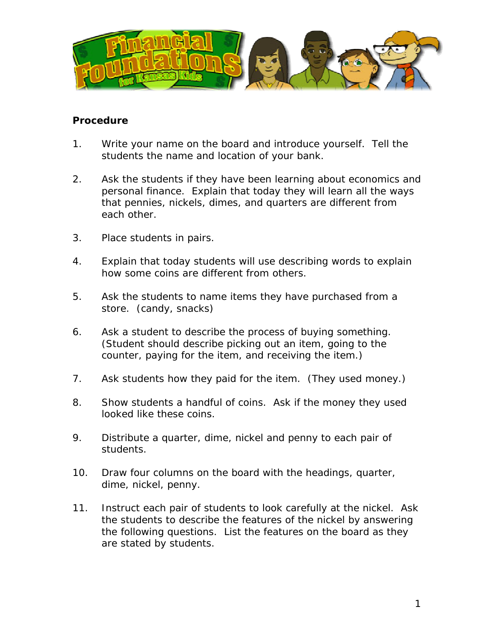

#### **Procedure**

- 1. Write your name on the board and introduce yourself. Tell the students the name and location of your bank.
- 2. Ask the students if they have been learning about economics and personal finance. Explain that today they will learn all the ways that pennies, nickels, dimes, and quarters are different from each other.
- 3. Place students in pairs.
- 4. Explain that today students will use describing words to explain how some coins are different from others.
- 5. Ask the students to name items they have purchased from a store. (candy, snacks)
- 6. Ask a student to describe the process of buying something. (Student should describe picking out an item, going to the counter, paying for the item, and receiving the item.)
- 7. Ask students how they paid for the item. (They used money.)
- 8. Show students a handful of coins. Ask if the money they used looked like these coins.
- 9. Distribute a quarter, dime, nickel and penny to each pair of students.
- 10. Draw four columns on the board with the headings, quarter, dime, nickel, penny.
- 11. Instruct each pair of students to look carefully at the nickel. Ask the students to describe the features of the nickel by answering the following questions. List the features on the board as they are stated by students.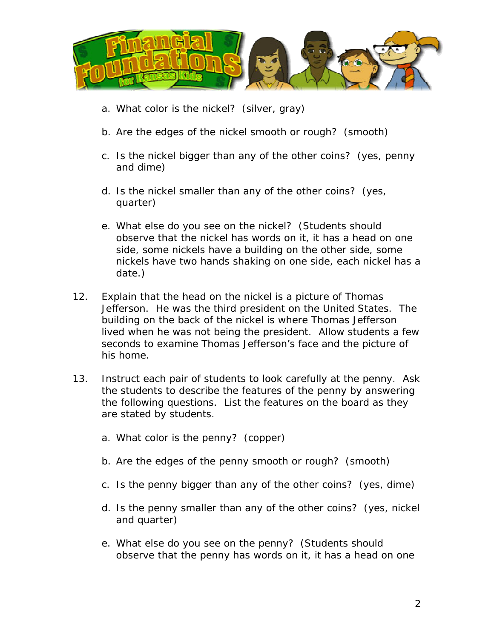

- a. What color is the nickel? (silver, gray)
- b. Are the edges of the nickel smooth or rough? (smooth)
- c. Is the nickel bigger than any of the other coins? (yes, penny and dime)
- d. Is the nickel smaller than any of the other coins? (yes, quarter)
- e. What else do you see on the nickel? (Students should observe that the nickel has words on it, it has a head on one side, some nickels have a building on the other side, some nickels have two hands shaking on one side, each nickel has a date.)
- 12. Explain that the head on the nickel is a picture of Thomas Jefferson. He was the third president on the United States. The building on the back of the nickel is where Thomas Jefferson lived when he was not being the president. Allow students a few seconds to examine Thomas Jefferson's face and the picture of his home.
- 13. Instruct each pair of students to look carefully at the penny. Ask the students to describe the features of the penny by answering the following questions. List the features on the board as they are stated by students.
	- a. What color is the penny? (copper)
	- b. Are the edges of the penny smooth or rough? (smooth)
	- c. Is the penny bigger than any of the other coins? (yes, dime)
	- d. Is the penny smaller than any of the other coins? (yes, nickel and quarter)
	- e. What else do you see on the penny? (Students should observe that the penny has words on it, it has a head on one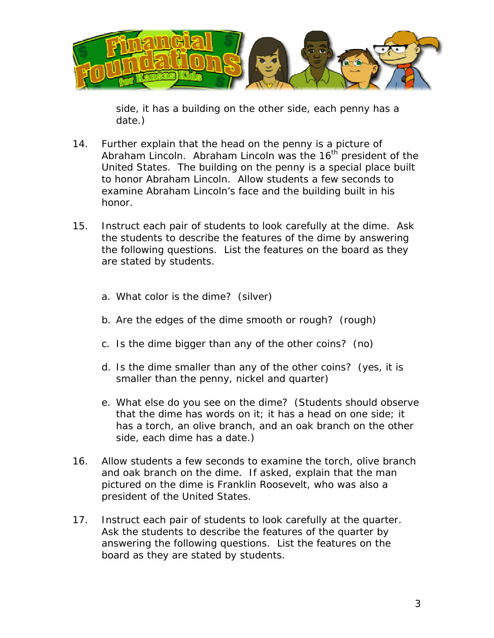

side, it has a building on the other side, each penny has a date.)

- 14. Further explain that the head on the penny is a picture of Abraham Lincoln. Abraham Lincoln was the 16<sup>th</sup> president of the United States. The building on the penny is a special place built to honor Abraham Lincoln. Allow students a few seconds to examine Abraham Lincoln's face and the building built in his honor.
- 15. Instruct each pair of students to look carefully at the dime. Ask the students to describe the features of the dime by answering the following questions. List the features on the board as they are stated by students.
	- a. What color is the dime? (silver)
	- b. Are the edges of the dime smooth or rough? (rough)
	- c. Is the dime bigger than any of the other coins? (no)
	- d. Is the dime smaller than any of the other coins? (yes, it is smaller than the penny, nickel and quarter)
	- e. What else do you see on the dime? (Students should observe that the dime has words on it; it has a head on one side; it has a torch, an olive branch, and an oak branch on the other side, each dime has a date.)
- 16. Allow students a few seconds to examine the torch, olive branch and oak branch on the dime. If asked, explain that the man pictured on the dime is Franklin Roosevelt, who was also a president of the United States.
- 17. Instruct each pair of students to look carefully at the quarter. Ask the students to describe the features of the quarter by answering the following questions. List the features on the board as they are stated by students.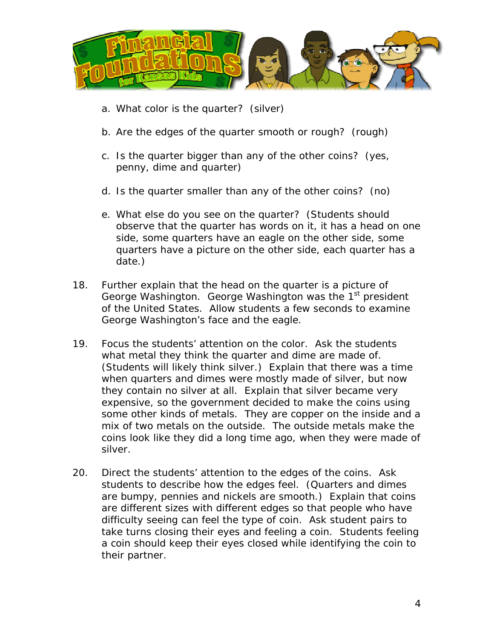

- a. What color is the quarter? (silver)
- b. Are the edges of the quarter smooth or rough? (rough)
- c. Is the quarter bigger than any of the other coins? (yes, penny, dime and quarter)
- d. Is the quarter smaller than any of the other coins? (no)
- e. What else do you see on the quarter? (Students should observe that the quarter has words on it, it has a head on one side, some quarters have an eagle on the other side, some quarters have a picture on the other side, each quarter has a date.)
- 18. Further explain that the head on the quarter is a picture of George Washington. George Washington was the 1<sup>st</sup> president of the United States. Allow students a few seconds to examine George Washington's face and the eagle.
- 19. Focus the students' attention on the color. Ask the students what metal they think the quarter and dime are made of. (Students will likely think silver.) Explain that there was a time when quarters and dimes were mostly made of silver, but now they contain no silver at all. Explain that silver became very expensive, so the government decided to make the coins using some other kinds of metals. They are copper on the inside and a mix of two metals on the outside. The outside metals make the coins look like they did a long time ago, when they were made of silver.
- 20. Direct the students' attention to the edges of the coins. Ask students to describe how the edges feel. (Quarters and dimes are bumpy, pennies and nickels are smooth.) Explain that coins are different sizes with different edges so that people who have difficulty seeing can feel the type of coin. Ask student pairs to take turns closing their eyes and feeling a coin. Students feeling a coin should keep their eyes closed while identifying the coin to their partner.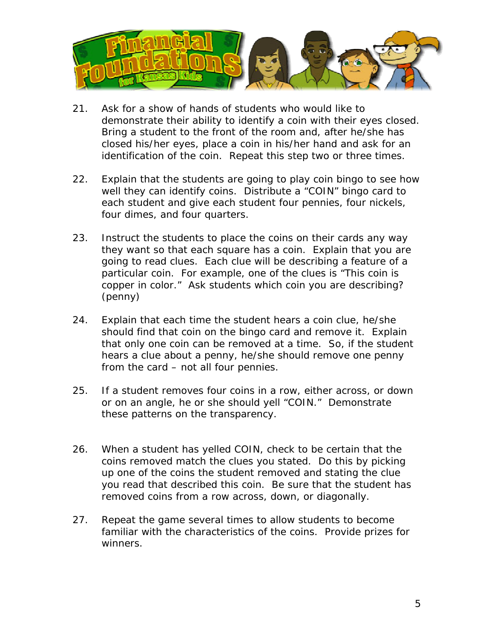

- 21. Ask for a show of hands of students who would like to demonstrate their ability to identify a coin with their eyes closed. Bring a student to the front of the room and, after he/she has closed his/her eyes, place a coin in his/her hand and ask for an identification of the coin. Repeat this step two or three times.
- 22. Explain that the students are going to play coin bingo to see how well they can identify coins. Distribute a "COIN" bingo card to each student and give each student four pennies, four nickels, four dimes, and four quarters.
- 23. Instruct the students to place the coins on their cards any way they want so that each square has a coin. Explain that you are going to read clues. Each clue will be describing a feature of a particular coin. For example, one of the clues is "This coin is copper in color." Ask students which coin you are describing? (penny)
- 24. Explain that each time the student hears a coin clue, he/she should find that coin on the bingo card and remove it. Explain that only one coin can be removed at a time. So, if the student hears a clue about a penny, he/she should remove one penny from the card – not all four pennies.
- 25. If a student removes four coins in a row, either across, or down or on an angle, he or she should yell "COIN." Demonstrate these patterns on the transparency.
- 26. When a student has yelled COIN, check to be certain that the coins removed match the clues you stated. Do this by picking up one of the coins the student removed and stating the clue you read that described this coin. Be sure that the student has removed coins from a row across, down, or diagonally.
- 27. Repeat the game several times to allow students to become familiar with the characteristics of the coins. Provide prizes for winners.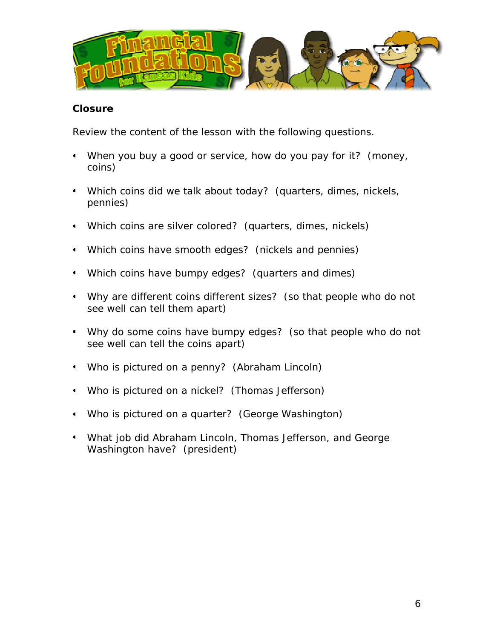

#### **Closure**

Review the content of the lesson with the following questions.

- When you buy a good or service, how do you pay for it? (money, coins)
- Which coins did we talk about today? (quarters, dimes, nickels,  $\blacksquare$ pennies)
- Which coins are silver colored? (quarters, dimes, nickels)
- Which coins have smooth edges? (nickels and pennies)
- Which coins have bumpy edges? (quarters and dimes)
- Why are different coins different sizes? (so that people who do not see well can tell them apart)
- Why do some coins have bumpy edges? (so that people who do not see well can tell the coins apart)
- Who is pictured on a penny? (Abraham Lincoln)
- Who is pictured on a nickel? (Thomas Jefferson)
- Who is pictured on a quarter? (George Washington)
- What job did Abraham Lincoln, Thomas Jefferson, and George Washington have? (president)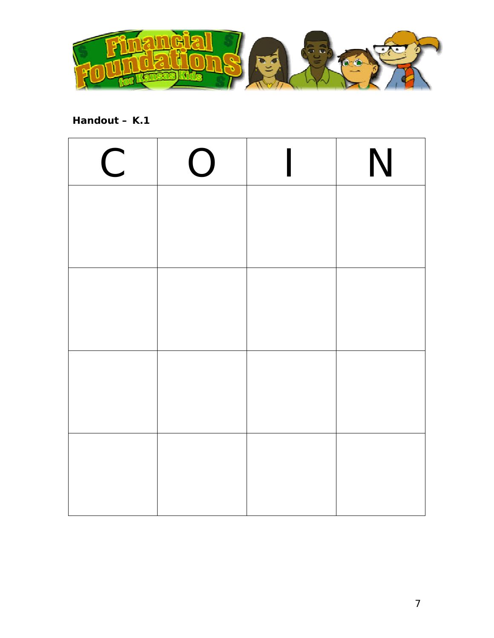

## **Handout – K.1**

| $\mathsf C$ | $\bigcirc$ | N |
|-------------|------------|---|
|             |            |   |
|             |            |   |
|             |            |   |
|             |            |   |
|             |            |   |
|             |            |   |
|             |            |   |
|             |            |   |
|             |            |   |